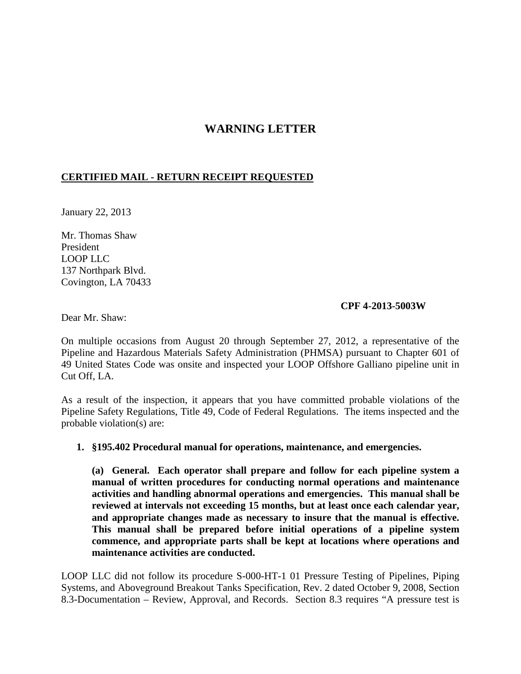# **WARNING LETTER**

## **CERTIFIED MAIL - RETURN RECEIPT REQUESTED**

January 22, 2013

Mr. Thomas Shaw President LOOP LLC 137 Northpark Blvd. Covington, LA 70433

#### **CPF 4-2013-5003W**

Dear Mr. Shaw:

On multiple occasions from August 20 through September 27, 2012, a representative of the Pipeline and Hazardous Materials Safety Administration (PHMSA) pursuant to Chapter 601 of 49 United States Code was onsite and inspected your LOOP Offshore Galliano pipeline unit in Cut Off, LA.

As a result of the inspection, it appears that you have committed probable violations of the Pipeline Safety Regulations, Title 49, Code of Federal Regulations. The items inspected and the probable violation(s) are:

**1. §195.402 Procedural manual for operations, maintenance, and emergencies.** 

**(a) General. Each operator shall prepare and follow for each pipeline system a manual of written procedures for conducting normal operations and maintenance activities and handling abnormal operations and emergencies. This manual shall be reviewed at intervals not exceeding 15 months, but at least once each calendar year, and appropriate changes made as necessary to insure that the manual is effective. This manual shall be prepared before initial operations of a pipeline system commence, and appropriate parts shall be kept at locations where operations and maintenance activities are conducted.**

LOOP LLC did not follow its procedure S-000-HT-1 01 Pressure Testing of Pipelines, Piping Systems, and Aboveground Breakout Tanks Specification, Rev. 2 dated October 9, 2008, Section 8.3-Documentation – Review, Approval, and Records. Section 8.3 requires "A pressure test is